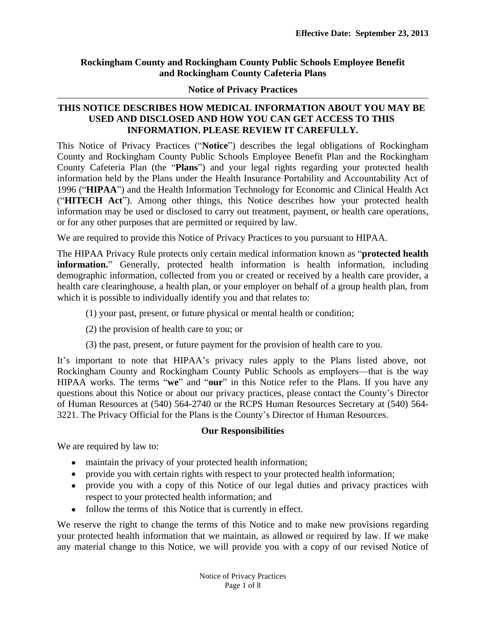# **Rockingham County and Rockingham County Public Schools Employee Benefit and Rockingham County Cafeteria Plans**

### **Notice of Privacy Practices**

# **THIS NOTICE DESCRIBES HOW MEDICAL INFORMATION ABOUT YOU MAY BE USED AND DISCLOSED AND HOW YOU CAN GET ACCESS TO THIS INFORMATION. PLEASE REVIEW IT CAREFULLY.**

This Notice of Privacy Practices ("**Notice**") describes the legal obligations of Rockingham County and Rockingham County Public Schools Employee Benefit Plan and the Rockingham County Cafeteria Plan (the "**Plans**") and your legal rights regarding your protected health information held by the Plans under the Health Insurance Portability and Accountability Act of 1996 ("**HIPAA**") and the Health Information Technology for Economic and Clinical Health Act ("**HITECH Act**"). Among other things, this Notice describes how your protected health information may be used or disclosed to carry out treatment, payment, or health care operations, or for any other purposes that are permitted or required by law.

We are required to provide this Notice of Privacy Practices to you pursuant to HIPAA.

The HIPAA Privacy Rule protects only certain medical information known as "**protected health information.**" Generally, protected health information is health information, including demographic information, collected from you or created or received by a health care provider, a health care clearinghouse, a health plan, or your employer on behalf of a group health plan, from which it is possible to individually identify you and that relates to:

- (1) your past, present, or future physical or mental health or condition;
- (2) the provision of health care to you; or
- (3) the past, present, or future payment for the provision of health care to you.

It's important to note that HIPAA's privacy rules apply to the Plans listed above, not Rockingham County and Rockingham County Public Schools as employers—that is the way HIPAA works. The terms "**we**" and "**our**" in this Notice refer to the Plans. If you have any questions about this Notice or about our privacy practices, please contact the County's Director of Human Resources at (540) 564-2740 or the RCPS Human Resources Secretary at (540) 564- 3221. The Privacy Official for the Plans is the County's Director of Human Resources.

# **Our Responsibilities**

We are required by law to:

- maintain the privacy of your protected health information;
- provide you with certain rights with respect to your protected health information;
- provide you with a copy of this Notice of our legal duties and privacy practices with respect to your protected health information; and
- follow the terms of this Notice that is currently in effect.

We reserve the right to change the terms of this Notice and to make new provisions regarding your protected health information that we maintain, as allowed or required by law. If we make any material change to this Notice, we will provide you with a copy of our revised Notice of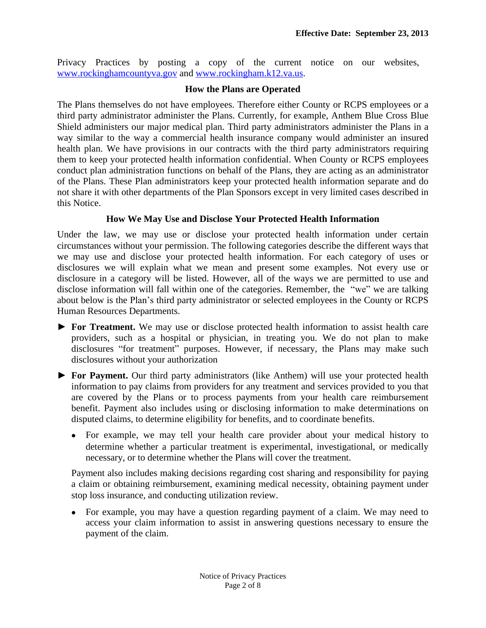Privacy Practices by posting a copy of the current notice on our websites, [www.rockinghamcountyva.gov](http://www.rockinghamcountyva.gov) and [www.rockingham.k12.va.us.](http://www.rockingham.k12.va.us)

### **How the Plans are Operated**

The Plans themselves do not have employees. Therefore either County or RCPS employees or a third party administrator administer the Plans. Currently, for example, Anthem Blue Cross Blue Shield administers our major medical plan. Third party administrators administer the Plans in a way similar to the way a commercial health insurance company would administer an insured health plan. We have provisions in our contracts with the third party administrators requiring them to keep your protected health information confidential. When County or RCPS employees conduct plan administration functions on behalf of the Plans, they are acting as an administrator of the Plans. These Plan administrators keep your protected health information separate and do not share it with other departments of the Plan Sponsors except in very limited cases described in this Notice.

# **How We May Use and Disclose Your Protected Health Information**

Under the law, we may use or disclose your protected health information under certain circumstances without your permission. The following categories describe the different ways that we may use and disclose your protected health information. For each category of uses or disclosures we will explain what we mean and present some examples. Not every use or disclosure in a category will be listed. However, all of the ways we are permitted to use and disclose information will fall within one of the categories. Remember, the "we" we are talking about below is the Plan's third party administrator or selected employees in the County or RCPS Human Resources Departments.

- *►* **For Treatment.** We may use or disclose protected health information to assist health care providers, such as a hospital or physician, in treating you. We do not plan to make disclosures "for treatment" purposes. However, if necessary, the Plans may make such disclosures without your authorization
- *►* **For Payment.** Our third party administrators (like Anthem) will use your protected health information to pay claims from providers for any treatment and services provided to you that are covered by the Plans or to process payments from your health care reimbursement benefit. Payment also includes using or disclosing information to make determinations on disputed claims, to determine eligibility for benefits, and to coordinate benefits.
	- For example, we may tell your health care provider about your medical history to determine whether a particular treatment is experimental, investigational, or medically necessary, or to determine whether the Plans will cover the treatment.

Payment also includes making decisions regarding cost sharing and responsibility for paying a claim or obtaining reimbursement, examining medical necessity, obtaining payment under stop loss insurance, and conducting utilization review.

 For example, you may have a question regarding payment of a claim. We may need to access your claim information to assist in answering questions necessary to ensure the payment of the claim.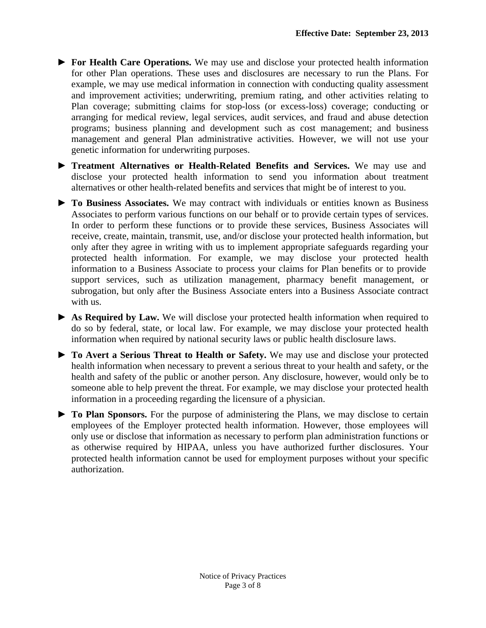- ► **For Health Care Operations.** We may use and disclose your protected health information for other Plan operations. These uses and disclosures are necessary to run the Plans. For example, we may use medical information in connection with conducting quality assessment and improvement activities; underwriting, premium rating, and other activities relating to Plan coverage; submitting claims for stop-loss (or excess-loss) coverage; conducting or arranging for medical review, legal services, audit services, and fraud and abuse detection programs; business planning and development such as cost management; and business management and general Plan administrative activities. However, we will not use your genetic information for underwriting purposes.
- ► **Treatment Alternatives or Health-Related Benefits and Services.** We may use and disclose your protected health information to send you information about treatment alternatives or other health-related benefits and services that might be of interest to you.
- ► **To Business Associates.** We may contract with individuals or entities known as Business Associates to perform various functions on our behalf or to provide certain types of services. In order to perform these functions or to provide these services, Business Associates will receive, create, maintain, transmit, use, and/or disclose your protected health information, but only after they agree in writing with us to implement appropriate safeguards regarding your protected health information. For example, we may disclose your protected health information to a Business Associate to process your claims for Plan benefits or to provide support services, such as utilization management, pharmacy benefit management, or subrogation, but only after the Business Associate enters into a Business Associate contract with us.
- ► **As Required by Law.** We will disclose your protected health information when required to do so by federal, state, or local law. For example, we may disclose your protected health information when required by national security laws or public health disclosure laws.
- ► **To Avert a Serious Threat to Health or Safety.** We may use and disclose your protected health information when necessary to prevent a serious threat to your health and safety, or the health and safety of the public or another person. Any disclosure, however, would only be to someone able to help prevent the threat. For example, we may disclose your protected health information in a proceeding regarding the licensure of a physician.
- ► **To Plan Sponsors.** For the purpose of administering the Plans, we may disclose to certain employees of the Employer protected health information. However, those employees will only use or disclose that information as necessary to perform plan administration functions or as otherwise required by HIPAA, unless you have authorized further disclosures. Your protected health information cannot be used for employment purposes without your specific authorization.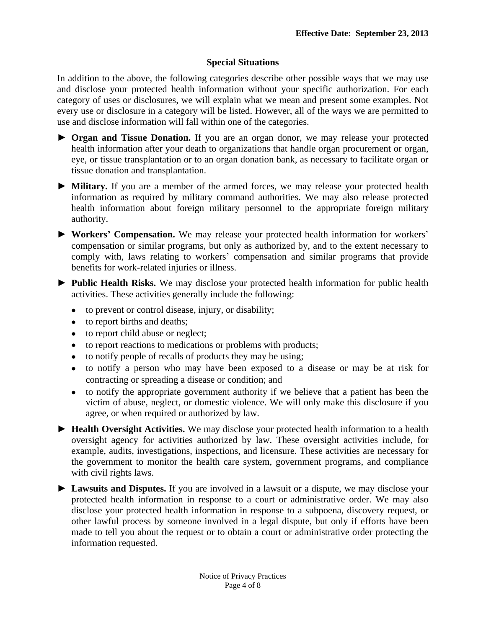### **Special Situations**

In addition to the above, the following categories describe other possible ways that we may use and disclose your protected health information without your specific authorization. For each category of uses or disclosures, we will explain what we mean and present some examples. Not every use or disclosure in a category will be listed. However, all of the ways we are permitted to use and disclose information will fall within one of the categories.

- ► **Organ and Tissue Donation.** If you are an organ donor, we may release your protected health information after your death to organizations that handle organ procurement or organ, eye, or tissue transplantation or to an organ donation bank, as necessary to facilitate organ or tissue donation and transplantation.
- ► **Military.** If you are a member of the armed forces, we may release your protected health information as required by military command authorities. We may also release protected health information about foreign military personnel to the appropriate foreign military authority.
- ► **Workers' Compensation.** We may release your protected health information for workers' compensation or similar programs, but only as authorized by, and to the extent necessary to comply with, laws relating to workers' compensation and similar programs that provide benefits for work-related injuries or illness.
- ► **Public Health Risks.** We may disclose your protected health information for public health activities. These activities generally include the following:
	- to prevent or control disease, injury, or disability;
	- to report births and deaths;
	- to report child abuse or neglect;
	- to report reactions to medications or problems with products;
	- to notify people of recalls of products they may be using;
	- to notify a person who may have been exposed to a disease or may be at risk for contracting or spreading a disease or condition; and
	- to notify the appropriate government authority if we believe that a patient has been the victim of abuse, neglect, or domestic violence. We will only make this disclosure if you agree, or when required or authorized by law.
- ► **Health Oversight Activities.** We may disclose your protected health information to a health oversight agency for activities authorized by law. These oversight activities include, for example, audits, investigations, inspections, and licensure. These activities are necessary for the government to monitor the health care system, government programs, and compliance with civil rights laws.
- ► **Lawsuits and Disputes.** If you are involved in a lawsuit or a dispute, we may disclose your protected health information in response to a court or administrative order. We may also disclose your protected health information in response to a subpoena, discovery request, or other lawful process by someone involved in a legal dispute, but only if efforts have been made to tell you about the request or to obtain a court or administrative order protecting the information requested.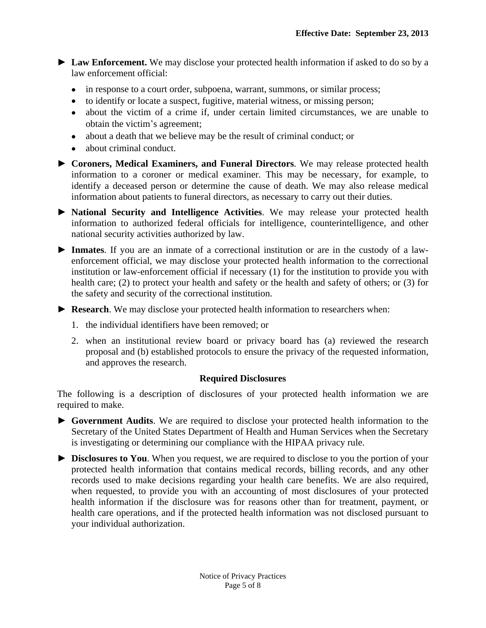► **Law Enforcement.** We may disclose your protected health information if asked to do so by a law enforcement official:

- in response to a court order, subpoena, warrant, summons, or similar process;
- to identify or locate a suspect, fugitive, material witness, or missing person;
- about the victim of a crime if, under certain limited circumstances, we are unable to obtain the victim's agreement;
- about a death that we believe may be the result of criminal conduct; or
- about criminal conduct.
- ► **Coroners, Medical Examiners, and Funeral Directors**. We may release protected health information to a coroner or medical examiner. This may be necessary, for example, to identify a deceased person or determine the cause of death. We may also release medical information about patients to funeral directors, as necessary to carry out their duties.
- ► **National Security and Intelligence Activities**. We may release your protected health information to authorized federal officials for intelligence, counterintelligence, and other national security activities authorized by law.
- ► **Inmates**. If you are an inmate of a correctional institution or are in the custody of a lawenforcement official, we may disclose your protected health information to the correctional institution or law-enforcement official if necessary (1) for the institution to provide you with health care; (2) to protect your health and safety or the health and safety of others; or (3) for the safety and security of the correctional institution.
- ► **Research**. We may disclose your protected health information to researchers when:
	- 1. the individual identifiers have been removed; or
	- 2. when an institutional review board or privacy board has (a) reviewed the research proposal and (b) established protocols to ensure the privacy of the requested information, and approves the research.

#### **Required Disclosures**

The following is a description of disclosures of your protected health information we are required to make.

- ► **Government Audits**. We are required to disclose your protected health information to the Secretary of the United States Department of Health and Human Services when the Secretary is investigating or determining our compliance with the HIPAA privacy rule.
- ► **Disclosures to You**. When you request, we are required to disclose to you the portion of your protected health information that contains medical records, billing records, and any other records used to make decisions regarding your health care benefits. We are also required, when requested, to provide you with an accounting of most disclosures of your protected health information if the disclosure was for reasons other than for treatment, payment, or health care operations, and if the protected health information was not disclosed pursuant to your individual authorization.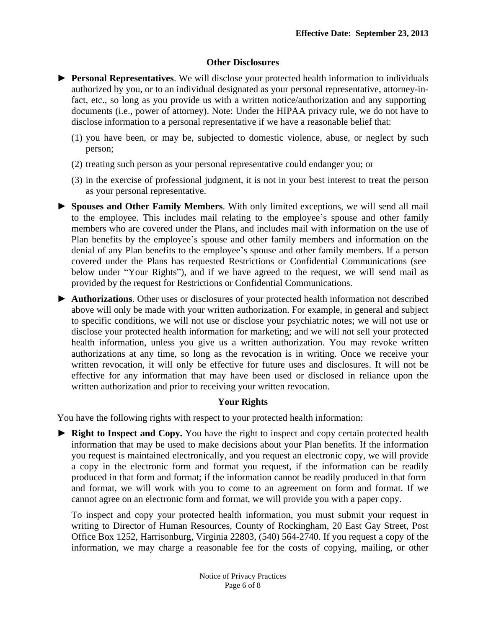### **Other Disclosures**

- ► **Personal Representatives**. We will disclose your protected health information to individuals authorized by you, or to an individual designated as your personal representative, attorney-infact, etc., so long as you provide us with a written notice/authorization and any supporting documents (i.e., power of attorney). Note: Under the HIPAA privacy rule, we do not have to disclose information to a personal representative if we have a reasonable belief that:
	- (1) you have been, or may be, subjected to domestic violence, abuse, or neglect by such person;
	- (2) treating such person as your personal representative could endanger you; or
	- (3) in the exercise of professional judgment, it is not in your best interest to treat the person as your personal representative.
- ► **Spouses and Other Family Members**. With only limited exceptions, we will send all mail to the employee. This includes mail relating to the employee's spouse and other family members who are covered under the Plans, and includes mail with information on the use of Plan benefits by the employee's spouse and other family members and information on the denial of any Plan benefits to the employee's spouse and other family members. If a person covered under the Plans has requested Restrictions or Confidential Communications (see below under "Your Rights"), and if we have agreed to the request, we will send mail as provided by the request for Restrictions or Confidential Communications.
- ► **Authorizations**. Other uses or disclosures of your protected health information not described above will only be made with your written authorization. For example, in general and subject to specific conditions, we will not use or disclose your psychiatric notes; we will not use or disclose your protected health information for marketing; and we will not sell your protected health information, unless you give us a written authorization. You may revoke written authorizations at any time, so long as the revocation is in writing. Once we receive your written revocation, it will only be effective for future uses and disclosures. It will not be effective for any information that may have been used or disclosed in reliance upon the written authorization and prior to receiving your written revocation.

# **Your Rights**

You have the following rights with respect to your protected health information:

► **Right to Inspect and Copy.** You have the right to inspect and copy certain protected health information that may be used to make decisions about your Plan benefits. If the information you request is maintained electronically, and you request an electronic copy, we will provide a copy in the electronic form and format you request, if the information can be readily produced in that form and format; if the information cannot be readily produced in that form and format, we will work with you to come to an agreement on form and format. If we cannot agree on an electronic form and format, we will provide you with a paper copy.

To inspect and copy your protected health information, you must submit your request in writing to Director of Human Resources, County of Rockingham, 20 East Gay Street, Post Office Box 1252, Harrisonburg, Virginia 22803, (540) 564-2740. If you request a copy of the information, we may charge a reasonable fee for the costs of copying, mailing, or other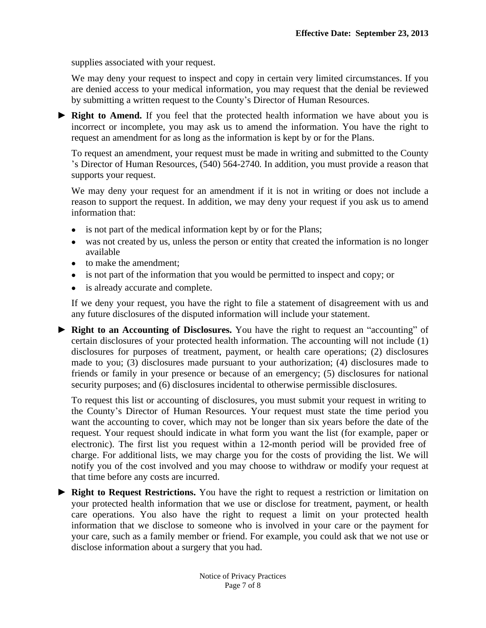supplies associated with your request.

We may deny your request to inspect and copy in certain very limited circumstances. If you are denied access to your medical information, you may request that the denial be reviewed by submitting a written request to the County's Director of Human Resources*.*

► **Right to Amend.** If you feel that the protected health information we have about you is incorrect or incomplete, you may ask us to amend the information. You have the right to request an amendment for as long as the information is kept by or for the Plans.

To request an amendment, your request must be made in writing and submitted to the County 's Director of Human Resources, (540) 564-2740*.* In addition, you must provide a reason that supports your request.

We may deny your request for an amendment if it is not in writing or does not include a reason to support the request. In addition, we may deny your request if you ask us to amend information that:

- is not part of the medical information kept by or for the Plans;
- was not created by us, unless the person or entity that created the information is no longer available
- to make the amendment;
- is not part of the information that you would be permitted to inspect and copy; or
- is already accurate and complete.

If we deny your request, you have the right to file a statement of disagreement with us and any future disclosures of the disputed information will include your statement.

► **Right to an Accounting of Disclosures.** You have the right to request an "accounting" of certain disclosures of your protected health information. The accounting will not include (1) disclosures for purposes of treatment, payment, or health care operations; (2) disclosures made to you; (3) disclosures made pursuant to your authorization; (4) disclosures made to friends or family in your presence or because of an emergency; (5) disclosures for national security purposes; and (6) disclosures incidental to otherwise permissible disclosures.

To request this list or accounting of disclosures, you must submit your request in writing to the County's Director of Human Resources*.* Your request must state the time period you want the accounting to cover, which may not be longer than six years before the date of the request. Your request should indicate in what form you want the list (for example, paper or electronic). The first list you request within a 12-month period will be provided free of charge. For additional lists, we may charge you for the costs of providing the list. We will notify you of the cost involved and you may choose to withdraw or modify your request at that time before any costs are incurred.

► **Right to Request Restrictions.** You have the right to request a restriction or limitation on your protected health information that we use or disclose for treatment, payment, or health care operations. You also have the right to request a limit on your protected health information that we disclose to someone who is involved in your care or the payment for your care, such as a family member or friend. For example, you could ask that we not use or disclose information about a surgery that you had.